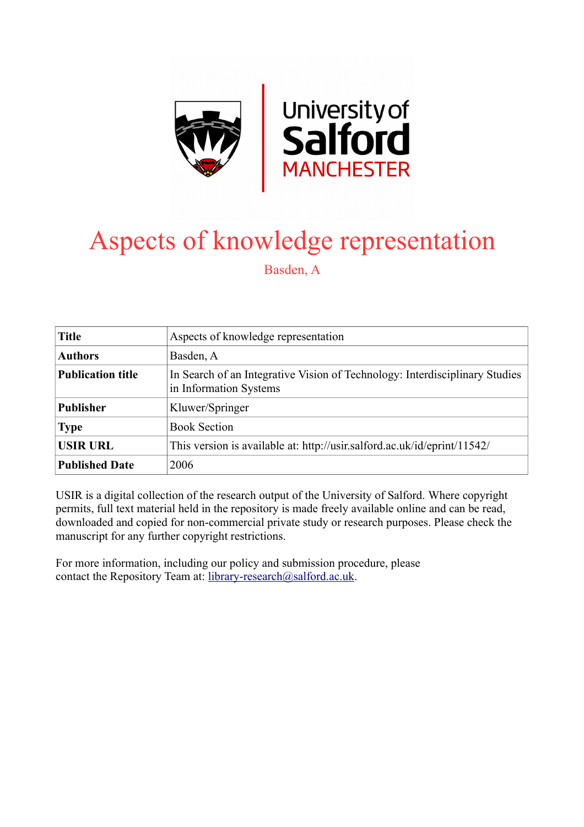

# Aspects of knowledge representation Basden, A

| <b>Title</b>             | Aspects of knowledge representation                                                                   |  |
|--------------------------|-------------------------------------------------------------------------------------------------------|--|
| <b>Authors</b>           | Basden, A                                                                                             |  |
| <b>Publication title</b> | In Search of an Integrative Vision of Technology: Interdisciplinary Studies<br>in Information Systems |  |
| <b>Publisher</b>         | Kluwer/Springer                                                                                       |  |
| <b>Type</b>              | <b>Book Section</b>                                                                                   |  |
| <b>USIR URL</b>          | This version is available at: http://usir.salford.ac.uk/id/eprint/11542/                              |  |
| <b>Published Date</b>    | 2006                                                                                                  |  |

USIR is a digital collection of the research output of the University of Salford. Where copyright permits, full text material held in the repository is made freely available online and can be read, downloaded and copied for non-commercial private study or research purposes. Please check the manuscript for any further copyright restrictions.

For more information, including our policy and submission procedure, please contact the Repository Team at: [library-research@salford.ac.uk.](mailto:library-research@salford.ac.uk)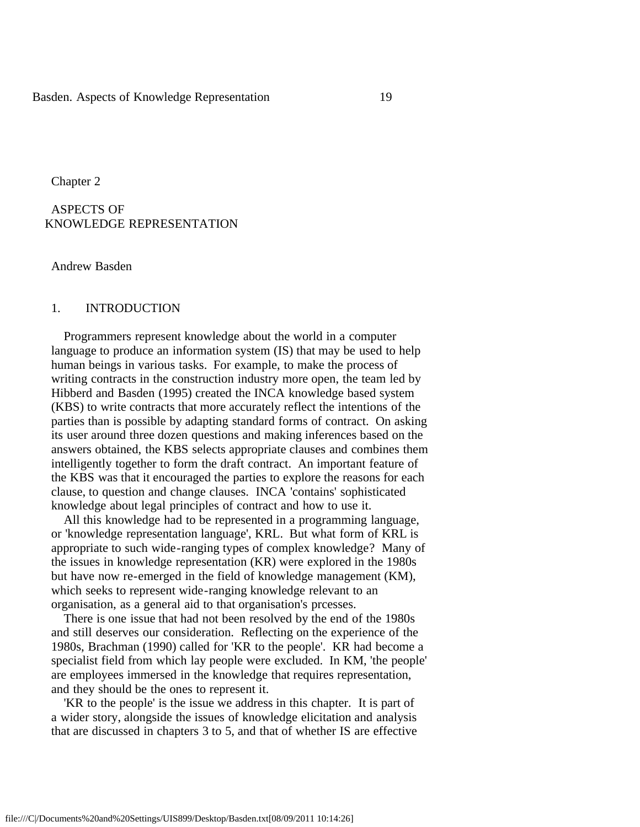Chapter 2

 ASPECTS OF KNOWLEDGE REPRESENTATION

Andrew Basden

#### 1. INTRODUCTION

 Programmers represent knowledge about the world in a computer language to produce an information system (IS) that may be used to help human beings in various tasks. For example, to make the process of writing contracts in the construction industry more open, the team led by Hibberd and Basden (1995) created the INCA knowledge based system (KBS) to write contracts that more accurately reflect the intentions of the parties than is possible by adapting standard forms of contract. On asking its user around three dozen questions and making inferences based on the answers obtained, the KBS selects appropriate clauses and combines them intelligently together to form the draft contract. An important feature of the KBS was that it encouraged the parties to explore the reasons for each clause, to question and change clauses. INCA 'contains' sophisticated knowledge about legal principles of contract and how to use it.

 All this knowledge had to be represented in a programming language, or 'knowledge representation language', KRL. But what form of KRL is appropriate to such wide-ranging types of complex knowledge? Many of the issues in knowledge representation (KR) were explored in the 1980s but have now re-emerged in the field of knowledge management (KM), which seeks to represent wide-ranging knowledge relevant to an organisation, as a general aid to that organisation's prcesses.

 There is one issue that had not been resolved by the end of the 1980s and still deserves our consideration. Reflecting on the experience of the 1980s, Brachman (1990) called for 'KR to the people'. KR had become a specialist field from which lay people were excluded. In KM, 'the people' are employees immersed in the knowledge that requires representation, and they should be the ones to represent it.

 'KR to the people' is the issue we address in this chapter. It is part of a wider story, alongside the issues of knowledge elicitation and analysis that are discussed in chapters 3 to 5, and that of whether IS are effective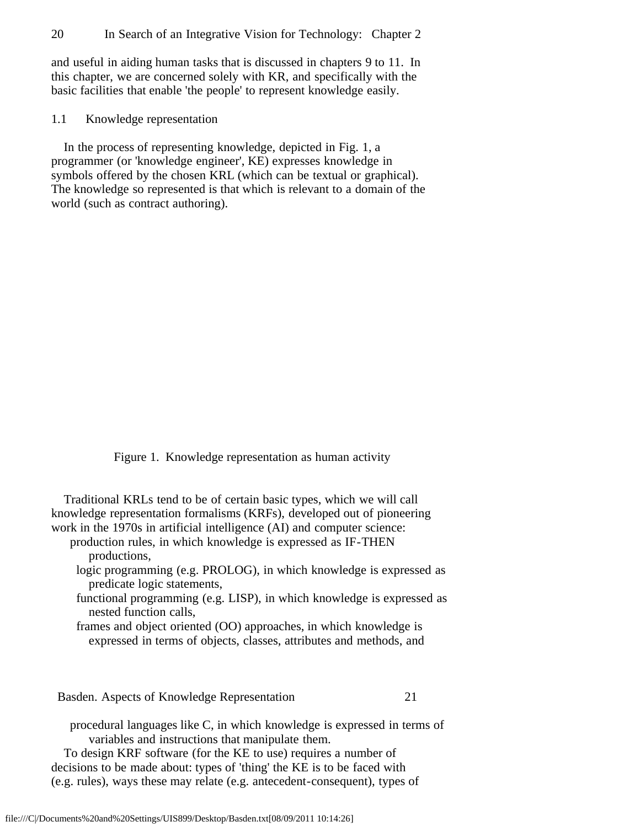and useful in aiding human tasks that is discussed in chapters 9 to 11. In this chapter, we are concerned solely with KR, and specifically with the basic facilities that enable 'the people' to represent knowledge easily.

1.1 Knowledge representation

 In the process of representing knowledge, depicted in Fig. 1, a programmer (or 'knowledge engineer', KE) expresses knowledge in symbols offered by the chosen KRL (which can be textual or graphical). The knowledge so represented is that which is relevant to a domain of the world (such as contract authoring).

Figure 1. Knowledge representation as human activity

 Traditional KRLs tend to be of certain basic types, which we will call knowledge representation formalisms (KRFs), developed out of pioneering work in the 1970s in artificial intelligence (AI) and computer science:

- production rules, in which knowledge is expressed as IF-THEN productions,
	- logic programming (e.g. PROLOG), in which knowledge is expressed as predicate logic statements,
	- functional programming (e.g. LISP), in which knowledge is expressed as nested function calls,
	- frames and object oriented (OO) approaches, in which knowledge is expressed in terms of objects, classes, attributes and methods, and

Basden. Aspects of Knowledge Representation 21

 procedural languages like C, in which knowledge is expressed in terms of variables and instructions that manipulate them.

 To design KRF software (for the KE to use) requires a number of decisions to be made about: types of 'thing' the KE is to be faced with (e.g. rules), ways these may relate (e.g. antecedent-consequent), types of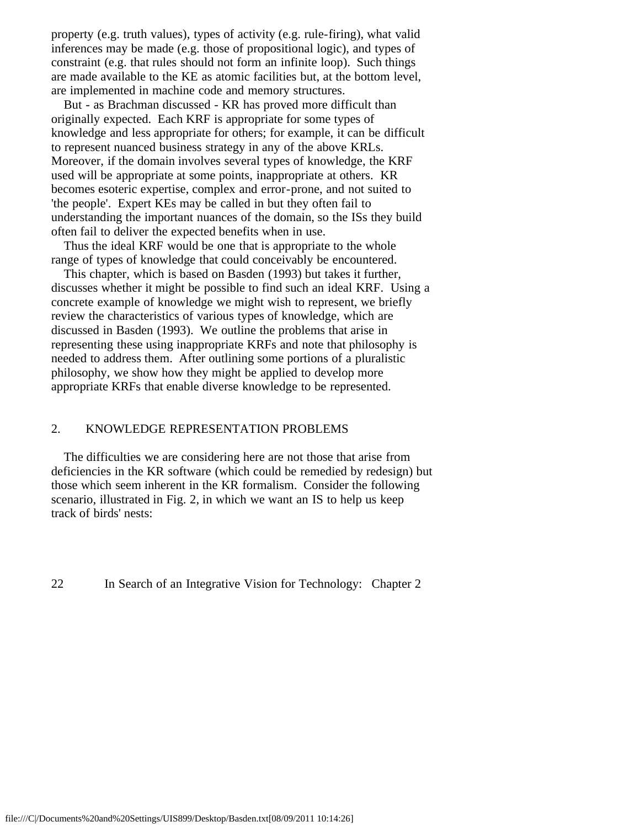property (e.g. truth values), types of activity (e.g. rule-firing), what valid inferences may be made (e.g. those of propositional logic), and types of constraint (e.g. that rules should not form an infinite loop). Such things are made available to the KE as atomic facilities but, at the bottom level, are implemented in machine code and memory structures.

 But - as Brachman discussed - KR has proved more difficult than originally expected. Each KRF is appropriate for some types of knowledge and less appropriate for others; for example, it can be difficult to represent nuanced business strategy in any of the above KRLs. Moreover, if the domain involves several types of knowledge, the KRF used will be appropriate at some points, inappropriate at others. KR becomes esoteric expertise, complex and error-prone, and not suited to 'the people'. Expert KEs may be called in but they often fail to understanding the important nuances of the domain, so the ISs they build often fail to deliver the expected benefits when in use.

 Thus the ideal KRF would be one that is appropriate to the whole range of types of knowledge that could conceivably be encountered.

 This chapter, which is based on Basden (1993) but takes it further, discusses whether it might be possible to find such an ideal KRF. Using a concrete example of knowledge we might wish to represent, we briefly review the characteristics of various types of knowledge, which are discussed in Basden (1993). We outline the problems that arise in representing these using inappropriate KRFs and note that philosophy is needed to address them. After outlining some portions of a pluralistic philosophy, we show how they might be applied to develop more appropriate KRFs that enable diverse knowledge to be represented.

## 2. KNOWLEDGE REPRESENTATION PROBLEMS

 The difficulties we are considering here are not those that arise from deficiencies in the KR software (which could be remedied by redesign) but those which seem inherent in the KR formalism. Consider the following scenario, illustrated in Fig. 2, in which we want an IS to help us keep track of birds' nests:

22 In Search of an Integrative Vision for Technology: Chapter 2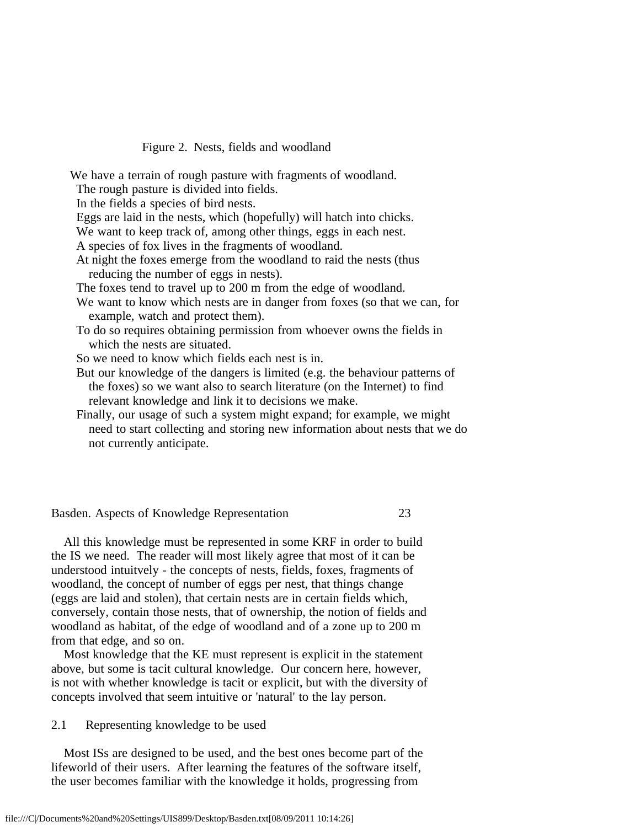Figure 2. Nests, fields and woodland

 We have a terrain of rough pasture with fragments of woodland. The rough pasture is divided into fields. In the fields a species of bird nests. Eggs are laid in the nests, which (hopefully) will hatch into chicks. We want to keep track of, among other things, eggs in each nest. A species of fox lives in the fragments of woodland. At night the foxes emerge from the woodland to raid the nests (thus reducing the number of eggs in nests). The foxes tend to travel up to 200 m from the edge of woodland. We want to know which nests are in danger from foxes (so that we can, for example, watch and protect them). To do so requires obtaining permission from whoever owns the fields in which the nests are situated. So we need to know which fields each nest is in. But our knowledge of the dangers is limited (e.g. the behaviour patterns of the foxes) so we want also to search literature (on the Internet) to find relevant knowledge and link it to decisions we make. Finally, our usage of such a system might expand; for example, we might need to start collecting and storing new information about nests that we do not currently anticipate.

Basden. Aspects of Knowledge Representation 23

 All this knowledge must be represented in some KRF in order to build the IS we need. The reader will most likely agree that most of it can be understood intuitvely - the concepts of nests, fields, foxes, fragments of woodland, the concept of number of eggs per nest, that things change (eggs are laid and stolen), that certain nests are in certain fields which, conversely, contain those nests, that of ownership, the notion of fields and woodland as habitat, of the edge of woodland and of a zone up to 200 m from that edge, and so on.

 Most knowledge that the KE must represent is explicit in the statement above, but some is tacit cultural knowledge. Our concern here, however, is not with whether knowledge is tacit or explicit, but with the diversity of concepts involved that seem intuitive or 'natural' to the lay person.

2.1 Representing knowledge to be used

 Most ISs are designed to be used, and the best ones become part of the lifeworld of their users. After learning the features of the software itself, the user becomes familiar with the knowledge it holds, progressing from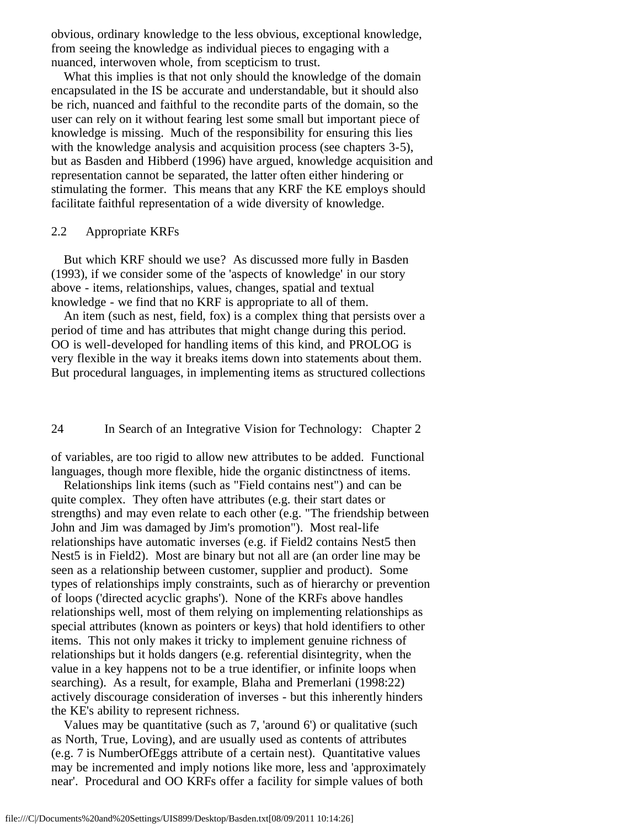obvious, ordinary knowledge to the less obvious, exceptional knowledge, from seeing the knowledge as individual pieces to engaging with a nuanced, interwoven whole, from scepticism to trust.

 What this implies is that not only should the knowledge of the domain encapsulated in the IS be accurate and understandable, but it should also be rich, nuanced and faithful to the recondite parts of the domain, so the user can rely on it without fearing lest some small but important piece of knowledge is missing. Much of the responsibility for ensuring this lies with the knowledge analysis and acquisition process (see chapters 3-5), but as Basden and Hibberd (1996) have argued, knowledge acquisition and representation cannot be separated, the latter often either hindering or stimulating the former. This means that any KRF the KE employs should facilitate faithful representation of a wide diversity of knowledge.

## 2.2 Appropriate KRFs

 But which KRF should we use? As discussed more fully in Basden (1993), if we consider some of the 'aspects of knowledge' in our story above - items, relationships, values, changes, spatial and textual knowledge - we find that no KRF is appropriate to all of them.

 An item (such as nest, field, fox) is a complex thing that persists over a period of time and has attributes that might change during this period. OO is well-developed for handling items of this kind, and PROLOG is very flexible in the way it breaks items down into statements about them. But procedural languages, in implementing items as structured collections

#### 24 In Search of an Integrative Vision for Technology: Chapter 2

 of variables, are too rigid to allow new attributes to be added. Functional languages, though more flexible, hide the organic distinctness of items.

 Relationships link items (such as "Field contains nest") and can be quite complex. They often have attributes (e.g. their start dates or strengths) and may even relate to each other (e.g. "The friendship between John and Jim was damaged by Jim's promotion"). Most real-life relationships have automatic inverses (e.g. if Field2 contains Nest5 then Nest5 is in Field2). Most are binary but not all are (an order line may be seen as a relationship between customer, supplier and product). Some types of relationships imply constraints, such as of hierarchy or prevention of loops ('directed acyclic graphs'). None of the KRFs above handles relationships well, most of them relying on implementing relationships as special attributes (known as pointers or keys) that hold identifiers to other items. This not only makes it tricky to implement genuine richness of relationships but it holds dangers (e.g. referential disintegrity, when the value in a key happens not to be a true identifier, or infinite loops when searching). As a result, for example, Blaha and Premerlani (1998:22) actively discourage consideration of inverses - but this inherently hinders the KE's ability to represent richness.

 Values may be quantitative (such as 7, 'around 6') or qualitative (such as North, True, Loving), and are usually used as contents of attributes (e.g. 7 is NumberOfEggs attribute of a certain nest). Quantitative values may be incremented and imply notions like more, less and 'approximately near'. Procedural and OO KRFs offer a facility for simple values of both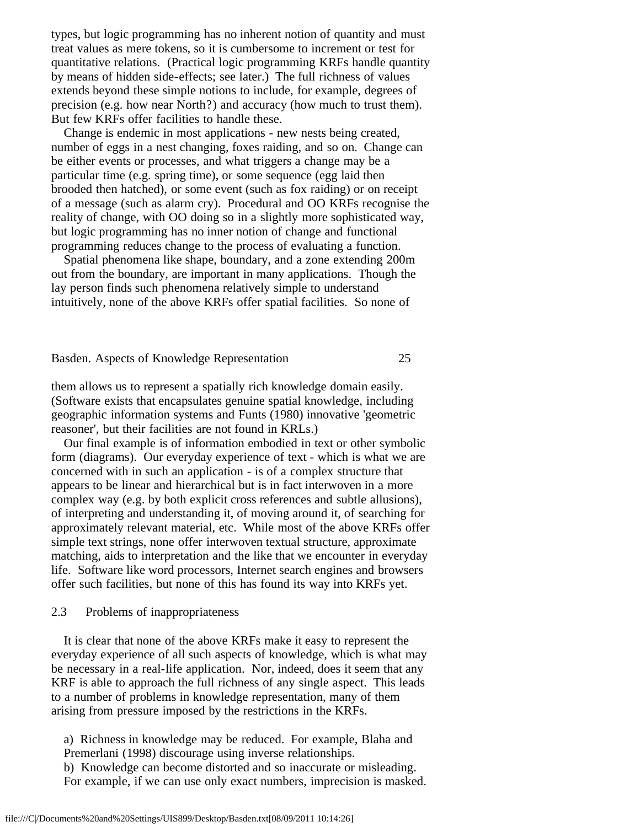types, but logic programming has no inherent notion of quantity and must treat values as mere tokens, so it is cumbersome to increment or test for quantitative relations. (Practical logic programming KRFs handle quantity by means of hidden side-effects; see later.) The full richness of values extends beyond these simple notions to include, for example, degrees of precision (e.g. how near North?) and accuracy (how much to trust them). But few KRFs offer facilities to handle these.

 Change is endemic in most applications - new nests being created, number of eggs in a nest changing, foxes raiding, and so on. Change can be either events or processes, and what triggers a change may be a particular time (e.g. spring time), or some sequence (egg laid then brooded then hatched), or some event (such as fox raiding) or on receipt of a message (such as alarm cry). Procedural and OO KRFs recognise the reality of change, with OO doing so in a slightly more sophisticated way, but logic programming has no inner notion of change and functional programming reduces change to the process of evaluating a function.

 Spatial phenomena like shape, boundary, and a zone extending 200m out from the boundary, are important in many applications. Though the lay person finds such phenomena relatively simple to understand intuitively, none of the above KRFs offer spatial facilities. So none of

#### Basden. Aspects of Knowledge Representation 25

 them allows us to represent a spatially rich knowledge domain easily. (Software exists that encapsulates genuine spatial knowledge, including geographic information systems and Funts (1980) innovative 'geometric reasoner', but their facilities are not found in KRLs.)

 Our final example is of information embodied in text or other symbolic form (diagrams). Our everyday experience of text - which is what we are concerned with in such an application - is of a complex structure that appears to be linear and hierarchical but is in fact interwoven in a more complex way (e.g. by both explicit cross references and subtle allusions), of interpreting and understanding it, of moving around it, of searching for approximately relevant material, etc. While most of the above KRFs offer simple text strings, none offer interwoven textual structure, approximate matching, aids to interpretation and the like that we encounter in everyday life. Software like word processors, Internet search engines and browsers offer such facilities, but none of this has found its way into KRFs yet.

#### 2.3 Problems of inappropriateness

 It is clear that none of the above KRFs make it easy to represent the everyday experience of all such aspects of knowledge, which is what may be necessary in a real-life application. Nor, indeed, does it seem that any KRF is able to approach the full richness of any single aspect. This leads to a number of problems in knowledge representation, many of them arising from pressure imposed by the restrictions in the KRFs.

 a) Richness in knowledge may be reduced. For example, Blaha and Premerlani (1998) discourage using inverse relationships.

 b) Knowledge can become distorted and so inaccurate or misleading. For example, if we can use only exact numbers, imprecision is masked.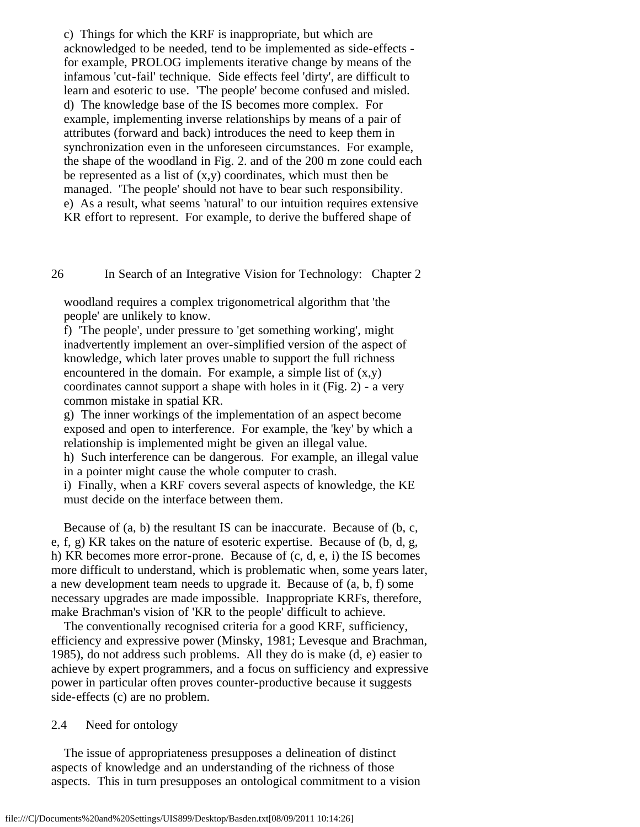c) Things for which the KRF is inappropriate, but which are acknowledged to be needed, tend to be implemented as side-effects for example, PROLOG implements iterative change by means of the infamous 'cut-fail' technique. Side effects feel 'dirty', are difficult to learn and esoteric to use. 'The people' become confused and misled. d) The knowledge base of the IS becomes more complex. For example, implementing inverse relationships by means of a pair of attributes (forward and back) introduces the need to keep them in synchronization even in the unforeseen circumstances. For example, the shape of the woodland in Fig. 2. and of the 200 m zone could each be represented as a list of  $(x,y)$  coordinates, which must then be managed. 'The people' should not have to bear such responsibility. e) As a result, what seems 'natural' to our intuition requires extensive KR effort to represent. For example, to derive the buffered shape of

#### 26 In Search of an Integrative Vision for Technology: Chapter 2

 woodland requires a complex trigonometrical algorithm that 'the people' are unlikely to know.

 f) 'The people', under pressure to 'get something working', might inadvertently implement an over-simplified version of the aspect of knowledge, which later proves unable to support the full richness encountered in the domain. For example, a simple list of  $(x,y)$  coordinates cannot support a shape with holes in it (Fig. 2) - a very common mistake in spatial KR.

 g) The inner workings of the implementation of an aspect become exposed and open to interference. For example, the 'key' by which a relationship is implemented might be given an illegal value.

 h) Such interference can be dangerous. For example, an illegal value in a pointer might cause the whole computer to crash.

 i) Finally, when a KRF covers several aspects of knowledge, the KE must decide on the interface between them.

 Because of (a, b) the resultant IS can be inaccurate. Because of (b, c, e, f, g) KR takes on the nature of esoteric expertise. Because of (b, d, g, h) KR becomes more error-prone. Because of (c, d, e, i) the IS becomes more difficult to understand, which is problematic when, some years later, a new development team needs to upgrade it. Because of (a, b, f) some necessary upgrades are made impossible. Inappropriate KRFs, therefore, make Brachman's vision of 'KR to the people' difficult to achieve.

 The conventionally recognised criteria for a good KRF, sufficiency, efficiency and expressive power (Minsky, 1981; Levesque and Brachman, 1985), do not address such problems. All they do is make (d, e) easier to achieve by expert programmers, and a focus on sufficiency and expressive power in particular often proves counter-productive because it suggests side-effects (c) are no problem.

#### 2.4 Need for ontology

 The issue of appropriateness presupposes a delineation of distinct aspects of knowledge and an understanding of the richness of those aspects. This in turn presupposes an ontological commitment to a vision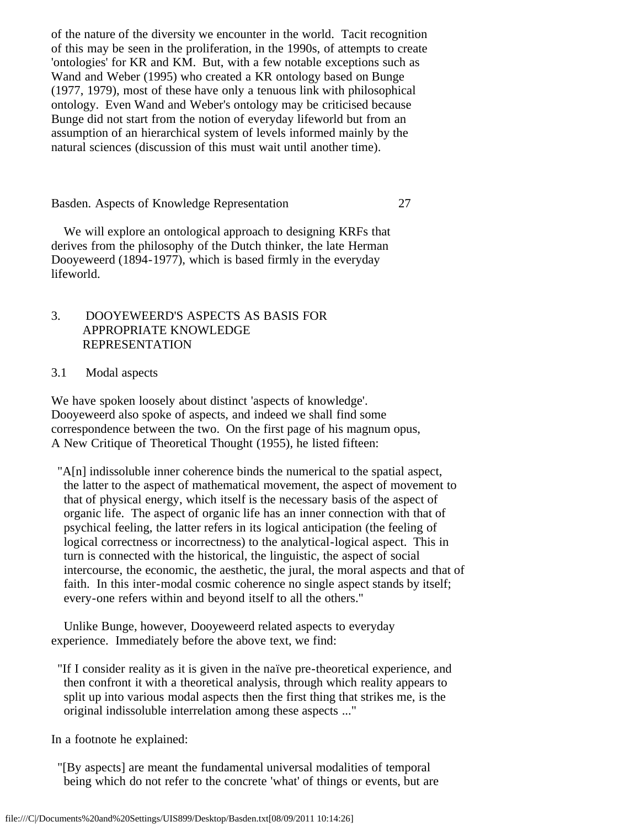of the nature of the diversity we encounter in the world. Tacit recognition of this may be seen in the proliferation, in the 1990s, of attempts to create 'ontologies' for KR and KM. But, with a few notable exceptions such as Wand and Weber (1995) who created a KR ontology based on Bunge (1977, 1979), most of these have only a tenuous link with philosophical ontology. Even Wand and Weber's ontology may be criticised because Bunge did not start from the notion of everyday lifeworld but from an assumption of an hierarchical system of levels informed mainly by the natural sciences (discussion of this must wait until another time).

Basden. Aspects of Knowledge Representation 27

 We will explore an ontological approach to designing KRFs that derives from the philosophy of the Dutch thinker, the late Herman Dooyeweerd (1894-1977), which is based firmly in the everyday lifeworld.

## 3. DOOYEWEERD'S ASPECTS AS BASIS FOR APPROPRIATE KNOWLEDGE REPRESENTATION

## 3.1 Modal aspects

 We have spoken loosely about distinct 'aspects of knowledge'. Dooyeweerd also spoke of aspects, and indeed we shall find some correspondence between the two. On the first page of his magnum opus, A New Critique of Theoretical Thought (1955), he listed fifteen:

 "A[n] indissoluble inner coherence binds the numerical to the spatial aspect, the latter to the aspect of mathematical movement, the aspect of movement to that of physical energy, which itself is the necessary basis of the aspect of organic life. The aspect of organic life has an inner connection with that of psychical feeling, the latter refers in its logical anticipation (the feeling of logical correctness or incorrectness) to the analytical-logical aspect. This in turn is connected with the historical, the linguistic, the aspect of social intercourse, the economic, the aesthetic, the jural, the moral aspects and that of faith. In this inter-modal cosmic coherence no single aspect stands by itself; every-one refers within and beyond itself to all the others."

 Unlike Bunge, however, Dooyeweerd related aspects to everyday experience. Immediately before the above text, we find:

 "If I consider reality as it is given in the naïve pre-theoretical experience, and then confront it with a theoretical analysis, through which reality appears to split up into various modal aspects then the first thing that strikes me, is the original indissoluble interrelation among these aspects ..."

In a footnote he explained:

 "[By aspects] are meant the fundamental universal modalities of temporal being which do not refer to the concrete 'what' of things or events, but are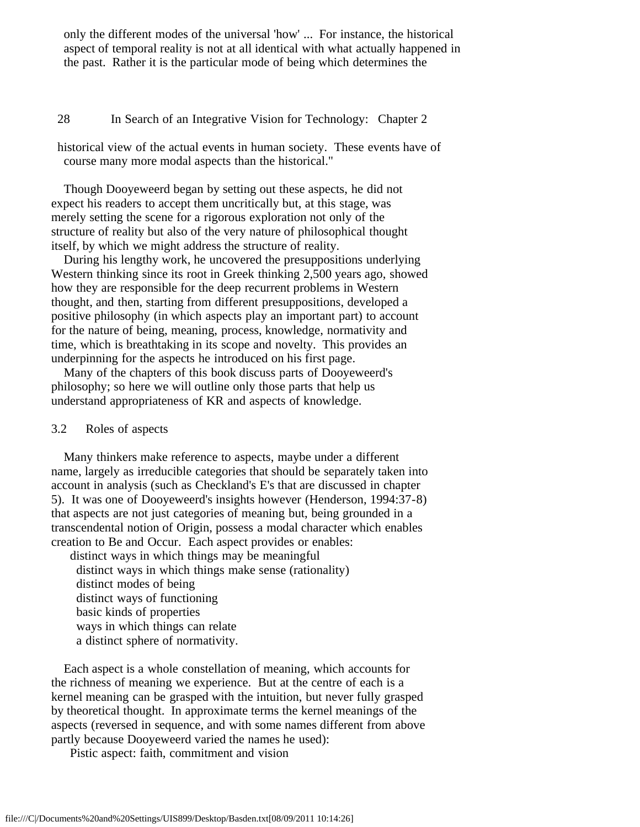only the different modes of the universal 'how' ... For instance, the historical aspect of temporal reality is not at all identical with what actually happened in the past. Rather it is the particular mode of being which determines the

#### 28 In Search of an Integrative Vision for Technology: Chapter 2

 historical view of the actual events in human society. These events have of course many more modal aspects than the historical."

 Though Dooyeweerd began by setting out these aspects, he did not expect his readers to accept them uncritically but, at this stage, was merely setting the scene for a rigorous exploration not only of the structure of reality but also of the very nature of philosophical thought itself, by which we might address the structure of reality.

 During his lengthy work, he uncovered the presuppositions underlying Western thinking since its root in Greek thinking 2,500 years ago, showed how they are responsible for the deep recurrent problems in Western thought, and then, starting from different presuppositions, developed a positive philosophy (in which aspects play an important part) to account for the nature of being, meaning, process, knowledge, normativity and time, which is breathtaking in its scope and novelty. This provides an underpinning for the aspects he introduced on his first page.

 Many of the chapters of this book discuss parts of Dooyeweerd's philosophy; so here we will outline only those parts that help us understand appropriateness of KR and aspects of knowledge.

## 3.2 Roles of aspects

 Many thinkers make reference to aspects, maybe under a different name, largely as irreducible categories that should be separately taken into account in analysis (such as Checkland's E's that are discussed in chapter 5). It was one of Dooyeweerd's insights however (Henderson, 1994:37-8) that aspects are not just categories of meaning but, being grounded in a transcendental notion of Origin, possess a modal character which enables creation to Be and Occur. Each aspect provides or enables:

 distinct ways in which things may be meaningful distinct ways in which things make sense (rationality) distinct modes of being distinct ways of functioning basic kinds of properties ways in which things can relate a distinct sphere of normativity.

 Each aspect is a whole constellation of meaning, which accounts for the richness of meaning we experience. But at the centre of each is a kernel meaning can be grasped with the intuition, but never fully grasped by theoretical thought. In approximate terms the kernel meanings of the aspects (reversed in sequence, and with some names different from above partly because Dooyeweerd varied the names he used):

Pistic aspect: faith, commitment and vision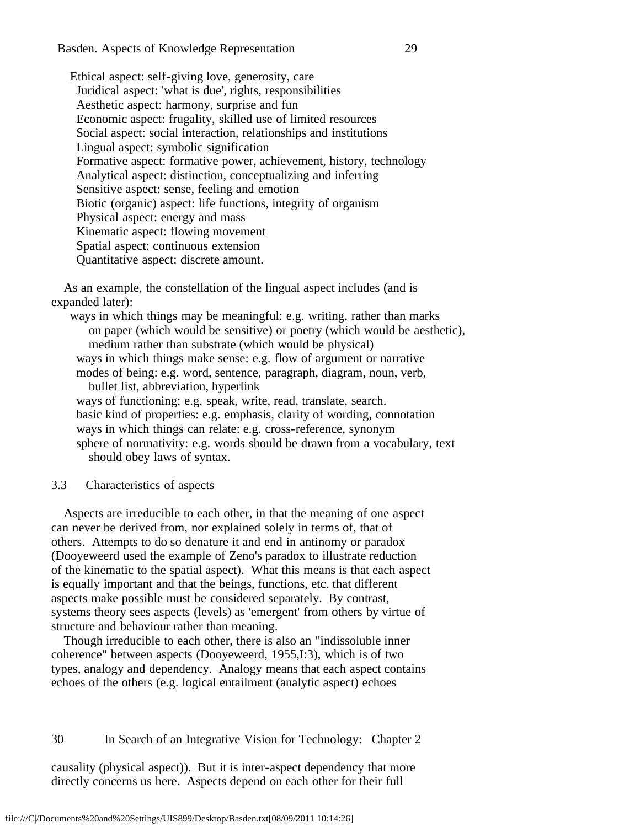Ethical aspect: self-giving love, generosity, care Juridical aspect: 'what is due', rights, responsibilities Aesthetic aspect: harmony, surprise and fun Economic aspect: frugality, skilled use of limited resources Social aspect: social interaction, relationships and institutions Lingual aspect: symbolic signification Formative aspect: formative power, achievement, history, technology Analytical aspect: distinction, conceptualizing and inferring Sensitive aspect: sense, feeling and emotion Biotic (organic) aspect: life functions, integrity of organism Physical aspect: energy and mass Kinematic aspect: flowing movement Spatial aspect: continuous extension Quantitative aspect: discrete amount.

 As an example, the constellation of the lingual aspect includes (and is expanded later):

 ways in which things may be meaningful: e.g. writing, rather than marks on paper (which would be sensitive) or poetry (which would be aesthetic), medium rather than substrate (which would be physical) ways in which things make sense: e.g. flow of argument or narrative modes of being: e.g. word, sentence, paragraph, diagram, noun, verb, bullet list, abbreviation, hyperlink ways of functioning: e.g. speak, write, read, translate, search. basic kind of properties: e.g. emphasis, clarity of wording, connotation ways in which things can relate: e.g. cross-reference, synonym sphere of normativity: e.g. words should be drawn from a vocabulary, text should obey laws of syntax.

## 3.3 Characteristics of aspects

 Aspects are irreducible to each other, in that the meaning of one aspect can never be derived from, nor explained solely in terms of, that of others. Attempts to do so denature it and end in antinomy or paradox (Dooyeweerd used the example of Zeno's paradox to illustrate reduction of the kinematic to the spatial aspect). What this means is that each aspect is equally important and that the beings, functions, etc. that different aspects make possible must be considered separately. By contrast, systems theory sees aspects (levels) as 'emergent' from others by virtue of structure and behaviour rather than meaning.

 Though irreducible to each other, there is also an "indissoluble inner coherence" between aspects (Dooyeweerd, 1955,I:3), which is of two types, analogy and dependency. Analogy means that each aspect contains echoes of the others (e.g. logical entailment (analytic aspect) echoes

#### 30 In Search of an Integrative Vision for Technology: Chapter 2

 causality (physical aspect)). But it is inter-aspect dependency that more directly concerns us here. Aspects depend on each other for their full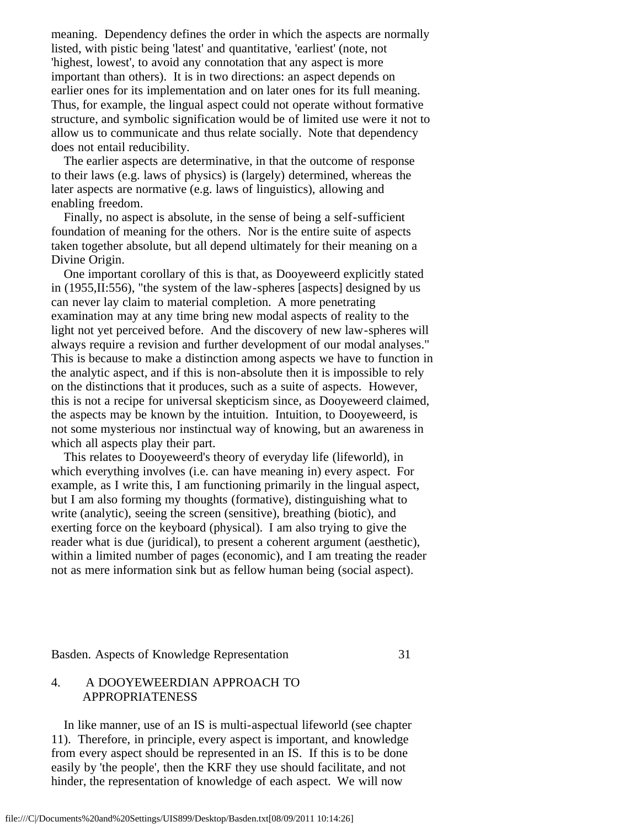meaning. Dependency defines the order in which the aspects are normally listed, with pistic being 'latest' and quantitative, 'earliest' (note, not 'highest, lowest', to avoid any connotation that any aspect is more important than others). It is in two directions: an aspect depends on earlier ones for its implementation and on later ones for its full meaning. Thus, for example, the lingual aspect could not operate without formative structure, and symbolic signification would be of limited use were it not to allow us to communicate and thus relate socially. Note that dependency does not entail reducibility.

 The earlier aspects are determinative, in that the outcome of response to their laws (e.g. laws of physics) is (largely) determined, whereas the later aspects are normative (e.g. laws of linguistics), allowing and enabling freedom.

 Finally, no aspect is absolute, in the sense of being a self-sufficient foundation of meaning for the others. Nor is the entire suite of aspects taken together absolute, but all depend ultimately for their meaning on a Divine Origin.

 One important corollary of this is that, as Dooyeweerd explicitly stated in (1955,II:556), "the system of the law-spheres [aspects] designed by us can never lay claim to material completion. A more penetrating examination may at any time bring new modal aspects of reality to the light not yet perceived before. And the discovery of new law-spheres will always require a revision and further development of our modal analyses." This is because to make a distinction among aspects we have to function in the analytic aspect, and if this is non-absolute then it is impossible to rely on the distinctions that it produces, such as a suite of aspects. However, this is not a recipe for universal skepticism since, as Dooyeweerd claimed, the aspects may be known by the intuition. Intuition, to Dooyeweerd, is not some mysterious nor instinctual way of knowing, but an awareness in which all aspects play their part.

 This relates to Dooyeweerd's theory of everyday life (lifeworld), in which everything involves (i.e. can have meaning in) every aspect. For example, as I write this, I am functioning primarily in the lingual aspect, but I am also forming my thoughts (formative), distinguishing what to write (analytic), seeing the screen (sensitive), breathing (biotic), and exerting force on the keyboard (physical). I am also trying to give the reader what is due (juridical), to present a coherent argument (aesthetic), within a limited number of pages (economic), and I am treating the reader not as mere information sink but as fellow human being (social aspect).

Basden. Aspects of Knowledge Representation 31

## 4. A DOOYEWEERDIAN APPROACH TO APPROPRIATENESS

 In like manner, use of an IS is multi-aspectual lifeworld (see chapter 11). Therefore, in principle, every aspect is important, and knowledge from every aspect should be represented in an IS. If this is to be done easily by 'the people', then the KRF they use should facilitate, and not hinder, the representation of knowledge of each aspect. We will now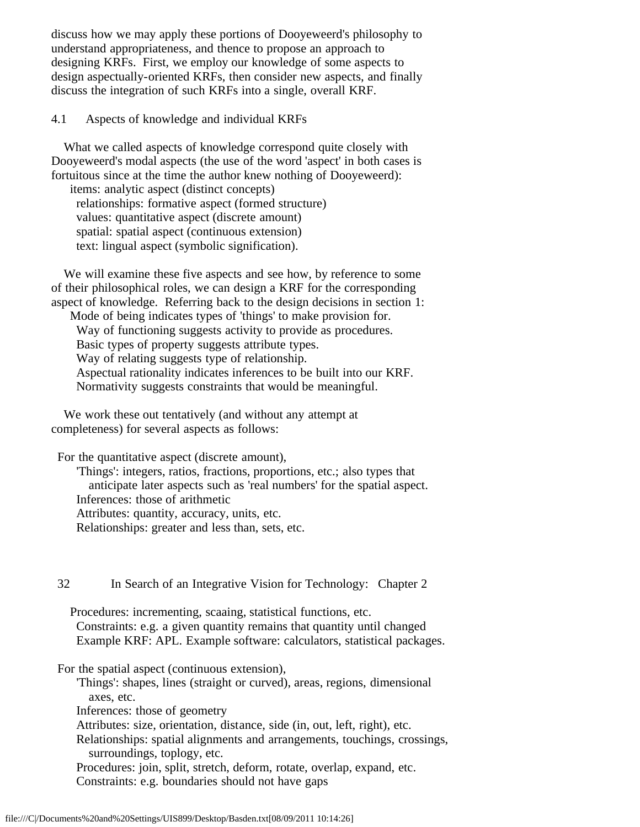discuss how we may apply these portions of Dooyeweerd's philosophy to understand appropriateness, and thence to propose an approach to designing KRFs. First, we employ our knowledge of some aspects to design aspectually-oriented KRFs, then consider new aspects, and finally discuss the integration of such KRFs into a single, overall KRF.

4.1 Aspects of knowledge and individual KRFs

 What we called aspects of knowledge correspond quite closely with Dooyeweerd's modal aspects (the use of the word 'aspect' in both cases is fortuitous since at the time the author knew nothing of Dooyeweerd):

 items: analytic aspect (distinct concepts) relationships: formative aspect (formed structure) values: quantitative aspect (discrete amount) spatial: spatial aspect (continuous extension) text: lingual aspect (symbolic signification).

 We will examine these five aspects and see how, by reference to some of their philosophical roles, we can design a KRF for the corresponding aspect of knowledge. Referring back to the design decisions in section 1: Mode of being indicates types of 'things' to make provision for. Way of functioning suggests activity to provide as procedures. Basic types of property suggests attribute types. Way of relating suggests type of relationship. Aspectual rationality indicates inferences to be built into our KRF. Normativity suggests constraints that would be meaningful.

 We work these out tentatively (and without any attempt at completeness) for several aspects as follows:

For the quantitative aspect (discrete amount),

 'Things': integers, ratios, fractions, proportions, etc.; also types that anticipate later aspects such as 'real numbers' for the spatial aspect. Inferences: those of arithmetic Attributes: quantity, accuracy, units, etc. Relationships: greater and less than, sets, etc.

32 In Search of an Integrative Vision for Technology: Chapter 2

 Procedures: incrementing, scaaing, statistical functions, etc. Constraints: e.g. a given quantity remains that quantity until changed Example KRF: APL. Example software: calculators, statistical packages.

For the spatial aspect (continuous extension),

 'Things': shapes, lines (straight or curved), areas, regions, dimensional axes, etc.

Inferences: those of geometry

Attributes: size, orientation, distance, side (in, out, left, right), etc.

 Relationships: spatial alignments and arrangements, touchings, crossings, surroundings, toplogy, etc.

 Procedures: join, split, stretch, deform, rotate, overlap, expand, etc. Constraints: e.g. boundaries should not have gaps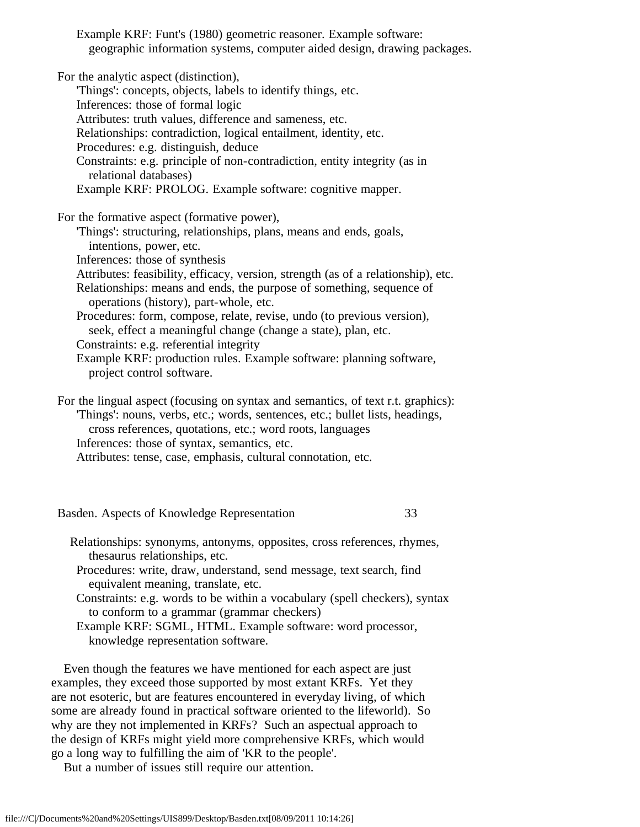Example KRF: Funt's (1980) geometric reasoner. Example software: geographic information systems, computer aided design, drawing packages.

For the analytic aspect (distinction),

'Things': concepts, objects, labels to identify things, etc.

Inferences: those of formal logic

Attributes: truth values, difference and sameness, etc.

Relationships: contradiction, logical entailment, identity, etc.

Procedures: e.g. distinguish, deduce

 Constraints: e.g. principle of non-contradiction, entity integrity (as in relational databases)

Example KRF: PROLOG. Example software: cognitive mapper.

For the formative aspect (formative power),

 'Things': structuring, relationships, plans, means and ends, goals, intentions, power, etc.

Inferences: those of synthesis

Attributes: feasibility, efficacy, version, strength (as of a relationship), etc.

 Relationships: means and ends, the purpose of something, sequence of operations (history), part-whole, etc.

 Procedures: form, compose, relate, revise, undo (to previous version), seek, effect a meaningful change (change a state), plan, etc.

Constraints: e.g. referential integrity

 Example KRF: production rules. Example software: planning software, project control software.

 For the lingual aspect (focusing on syntax and semantics, of text r.t. graphics): 'Things': nouns, verbs, etc.; words, sentences, etc.; bullet lists, headings, cross references, quotations, etc.; word roots, languages Inferences: those of syntax, semantics, etc. Attributes: tense, case, emphasis, cultural connotation, etc.

Basden. Aspects of Knowledge Representation 33

 Relationships: synonyms, antonyms, opposites, cross references, rhymes, thesaurus relationships, etc.

 Procedures: write, draw, understand, send message, text search, find equivalent meaning, translate, etc.

 Constraints: e.g. words to be within a vocabulary (spell checkers), syntax to conform to a grammar (grammar checkers)

 Example KRF: SGML, HTML. Example software: word processor, knowledge representation software.

 Even though the features we have mentioned for each aspect are just examples, they exceed those supported by most extant KRFs. Yet they are not esoteric, but are features encountered in everyday living, of which some are already found in practical software oriented to the lifeworld). So why are they not implemented in KRFs? Such an aspectual approach to the design of KRFs might yield more comprehensive KRFs, which would go a long way to fulfilling the aim of 'KR to the people'.

But a number of issues still require our attention.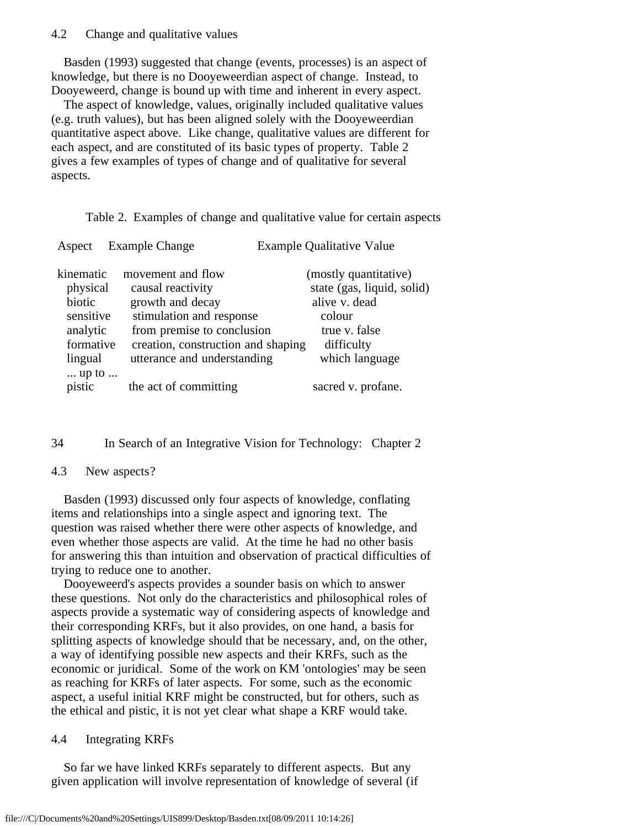## 4.2 Change and qualitative values

 Basden (1993) suggested that change (events, processes) is an aspect of knowledge, but there is no Dooyeweerdian aspect of change. Instead, to Dooyeweerd, change is bound up with time and inherent in every aspect.

 The aspect of knowledge, values, originally included qualitative values (e.g. truth values), but has been aligned solely with the Dooyeweerdian quantitative aspect above. Like change, qualitative values are different for each aspect, and are constituted of its basic types of property. Table 2 gives a few examples of types of change and of qualitative for several aspects.

Table 2. Examples of change and qualitative value for certain aspects

| Aspect                                                                | <b>Example Change</b>                                                                                                                                      | <b>Example Qualitative Value</b>                                                                              |
|-----------------------------------------------------------------------|------------------------------------------------------------------------------------------------------------------------------------------------------------|---------------------------------------------------------------------------------------------------------------|
| kinematic<br>physical<br>biotic<br>sensitive<br>analytic<br>formative | movement and flow<br>causal reactivity<br>growth and decay<br>stimulation and response<br>from premise to conclusion<br>creation, construction and shaping | (mostly quantitative)<br>state (gas, liquid, solid)<br>alive v. dead<br>colour<br>true v. false<br>difficulty |
| lingual<br>$\ldots$ up to $\ldots$<br>pistic                          | utterance and understanding<br>the act of committing                                                                                                       | which language<br>sacred v. profane.                                                                          |

34 In Search of an Integrative Vision for Technology: Chapter 2

#### 4.3 New aspects?

 Basden (1993) discussed only four aspects of knowledge, conflating items and relationships into a single aspect and ignoring text. The question was raised whether there were other aspects of knowledge, and even whether those aspects are valid. At the time he had no other basis for answering this than intuition and observation of practical difficulties of trying to reduce one to another.

 Dooyeweerd's aspects provides a sounder basis on which to answer these questions. Not only do the characteristics and philosophical roles of aspects provide a systematic way of considering aspects of knowledge and their corresponding KRFs, but it also provides, on one hand, a basis for splitting aspects of knowledge should that be necessary, and, on the other, a way of identifying possible new aspects and their KRFs, such as the economic or juridical. Some of the work on KM 'ontologies' may be seen as reaching for KRFs of later aspects. For some, such as the economic aspect, a useful initial KRF might be constructed, but for others, such as the ethical and pistic, it is not yet clear what shape a KRF would take.

#### 4.4 Integrating KRFs

 So far we have linked KRFs separately to different aspects. But any given application will involve representation of knowledge of several (if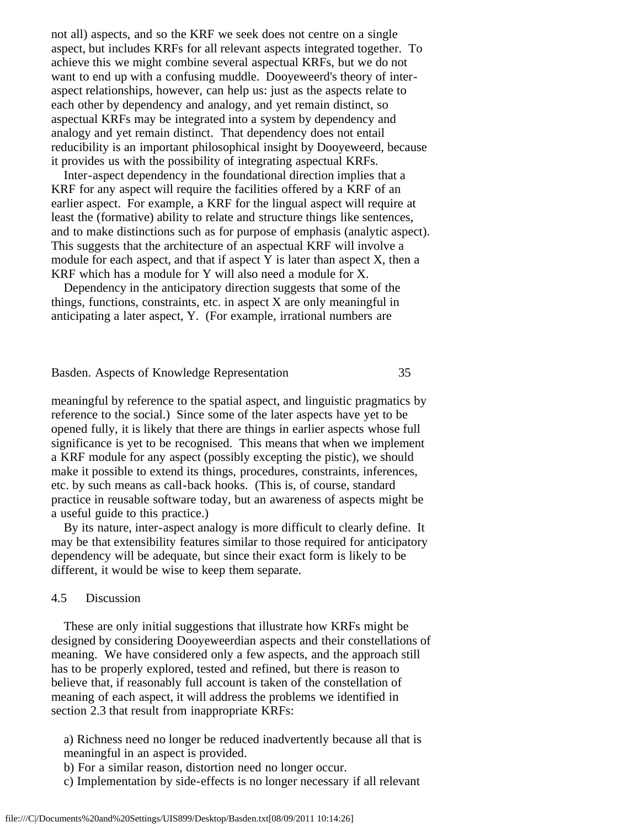not all) aspects, and so the KRF we seek does not centre on a single aspect, but includes KRFs for all relevant aspects integrated together. To achieve this we might combine several aspectual KRFs, but we do not want to end up with a confusing muddle. Dooyeweerd's theory of inter aspect relationships, however, can help us: just as the aspects relate to each other by dependency and analogy, and yet remain distinct, so aspectual KRFs may be integrated into a system by dependency and analogy and yet remain distinct. That dependency does not entail reducibility is an important philosophical insight by Dooyeweerd, because it provides us with the possibility of integrating aspectual KRFs.

 Inter-aspect dependency in the foundational direction implies that a KRF for any aspect will require the facilities offered by a KRF of an earlier aspect. For example, a KRF for the lingual aspect will require at least the (formative) ability to relate and structure things like sentences, and to make distinctions such as for purpose of emphasis (analytic aspect). This suggests that the architecture of an aspectual KRF will involve a module for each aspect, and that if aspect Y is later than aspect  $X$ , then a KRF which has a module for Y will also need a module for X.

 Dependency in the anticipatory direction suggests that some of the things, functions, constraints, etc. in aspect X are only meaningful in anticipating a later aspect, Y. (For example, irrational numbers are

Basden. Aspects of Knowledge Representation 35

 meaningful by reference to the spatial aspect, and linguistic pragmatics by reference to the social.) Since some of the later aspects have yet to be opened fully, it is likely that there are things in earlier aspects whose full significance is yet to be recognised. This means that when we implement a KRF module for any aspect (possibly excepting the pistic), we should make it possible to extend its things, procedures, constraints, inferences, etc. by such means as call-back hooks. (This is, of course, standard practice in reusable software today, but an awareness of aspects might be a useful guide to this practice.)

 By its nature, inter-aspect analogy is more difficult to clearly define. It may be that extensibility features similar to those required for anticipatory dependency will be adequate, but since their exact form is likely to be different, it would be wise to keep them separate.

#### 4.5 Discussion

 These are only initial suggestions that illustrate how KRFs might be designed by considering Dooyeweerdian aspects and their constellations of meaning. We have considered only a few aspects, and the approach still has to be properly explored, tested and refined, but there is reason to believe that, if reasonably full account is taken of the constellation of meaning of each aspect, it will address the problems we identified in section 2.3 that result from inappropriate KRFs:

 a) Richness need no longer be reduced inadvertently because all that is meaningful in an aspect is provided.

b) For a similar reason, distortion need no longer occur.

c) Implementation by side-effects is no longer necessary if all relevant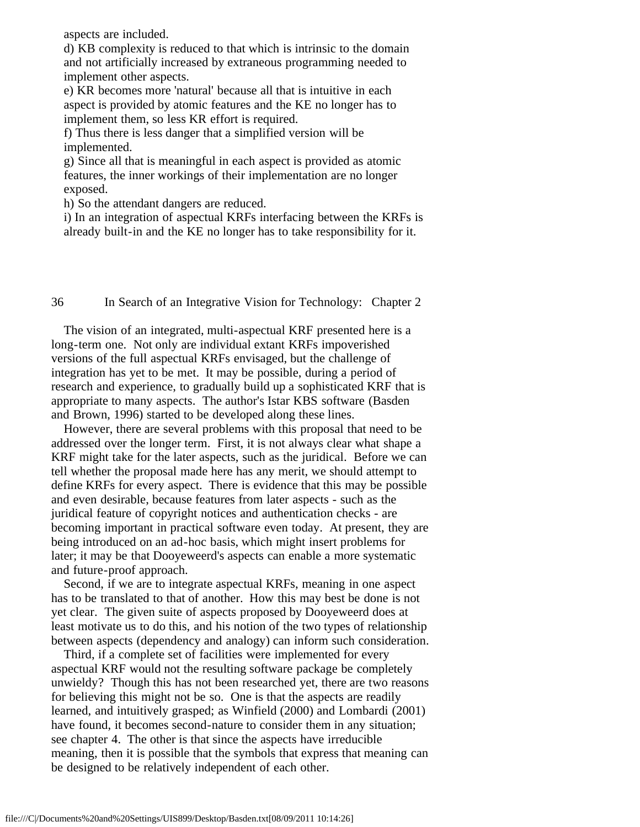aspects are included.

 d) KB complexity is reduced to that which is intrinsic to the domain and not artificially increased by extraneous programming needed to implement other aspects.

 e) KR becomes more 'natural' because all that is intuitive in each aspect is provided by atomic features and the KE no longer has to implement them, so less KR effort is required.

 f) Thus there is less danger that a simplified version will be implemented.

 g) Since all that is meaningful in each aspect is provided as atomic features, the inner workings of their implementation are no longer exposed.

h) So the attendant dangers are reduced.

 i) In an integration of aspectual KRFs interfacing between the KRFs is already built-in and the KE no longer has to take responsibility for it.

36 In Search of an Integrative Vision for Technology: Chapter 2

 The vision of an integrated, multi-aspectual KRF presented here is a long-term one. Not only are individual extant KRFs impoverished versions of the full aspectual KRFs envisaged, but the challenge of integration has yet to be met. It may be possible, during a period of research and experience, to gradually build up a sophisticated KRF that is appropriate to many aspects. The author's Istar KBS software (Basden and Brown, 1996) started to be developed along these lines.

 However, there are several problems with this proposal that need to be addressed over the longer term. First, it is not always clear what shape a KRF might take for the later aspects, such as the juridical. Before we can tell whether the proposal made here has any merit, we should attempt to define KRFs for every aspect. There is evidence that this may be possible and even desirable, because features from later aspects - such as the juridical feature of copyright notices and authentication checks - are becoming important in practical software even today. At present, they are being introduced on an ad-hoc basis, which might insert problems for later; it may be that Dooyeweerd's aspects can enable a more systematic and future-proof approach.

 Second, if we are to integrate aspectual KRFs, meaning in one aspect has to be translated to that of another. How this may best be done is not yet clear. The given suite of aspects proposed by Dooyeweerd does at least motivate us to do this, and his notion of the two types of relationship between aspects (dependency and analogy) can inform such consideration.

 Third, if a complete set of facilities were implemented for every aspectual KRF would not the resulting software package be completely unwieldy? Though this has not been researched yet, there are two reasons for believing this might not be so. One is that the aspects are readily learned, and intuitively grasped; as Winfield (2000) and Lombardi (2001) have found, it becomes second-nature to consider them in any situation; see chapter 4. The other is that since the aspects have irreducible meaning, then it is possible that the symbols that express that meaning can be designed to be relatively independent of each other.